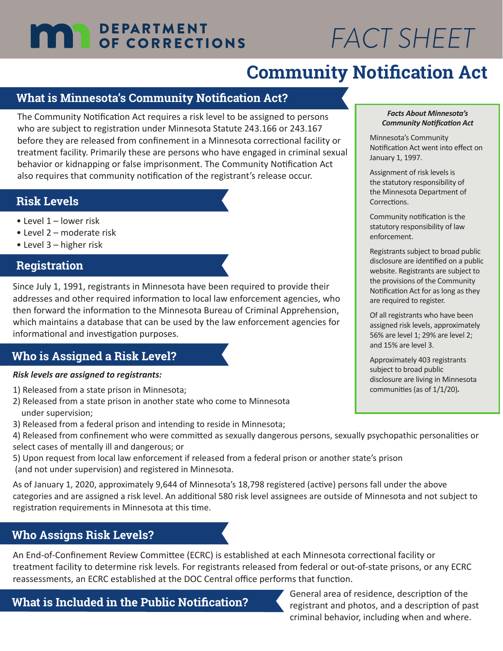## **DEPARTMENT THE DEPARTMENT**

# *FACT SHEET*

# **Community Notification Act**

## **What is Minnesota's Community Notification Act?**

The Community Notification Act requires a risk level to be assigned to persons who are subject to registration under Minnesota Statute 243.166 or 243.167 before they are released from confinement in a Minnesota correctional facility or treatment facility. Primarily these are persons who have engaged in criminal sexual behavior or kidnapping or false imprisonment. The Community Notification Act also requires that community notification of the registrant's release occur.

## **Risk Levels**

- Level 1 lower risk
- Level 2 moderate risk
- Level 3 higher risk

## **Registration**

Since July 1, 1991, registrants in Minnesota have been required to provide their addresses and other required information to local law enforcement agencies, who then forward the information to the Minnesota Bureau of Criminal Apprehension, which maintains a database that can be used by the law enforcement agencies for informational and investigation purposes.

## **Who is Assigned a Risk Level?**

#### *Risk levels are assigned to registrants:*

- 1) Released from a state prison in Minnesota;
- 2) Released from a state prison in another state who come to Minnesota under supervision;
- 3) Released from a federal prison and intending to reside in Minnesota;
- 4) Released from confinement who were committed as sexually dangerous persons, sexually psychopathic personalities or select cases of mentally ill and dangerous; or
- 5) Upon request from local law enforcement if released from a federal prison or another state's prison (and not under supervision) and registered in Minnesota.

As of January 1, 2020, approximately 9,644 of Minnesota's 18,798 registered (active) persons fall under the above categories and are assigned a risk level. An additional 580 risk level assignees are outside of Minnesota and not subject to registration requirements in Minnesota at this time.

## **Who Assigns Risk Levels?**

An End-of-Confinement Review Committee (ECRC) is established at each Minnesota correctional facility or treatment facility to determine risk levels. For registrants released from federal or out-of-state prisons, or any ECRC reassessments, an ECRC established at the DOC Central office performs that function.

#### *Facts About Minnesota's Community Notification Act*

Minnesota's Community Notification Act went into effect on January 1, 1997.

Assignment of risk levels is the statutory responsibility of the Minnesota Department of Corrections.

Community notification is the statutory responsibility of law enforcement.

Registrants subject to broad public disclosure are identified on a public website. Registrants are subject to the provisions of the Community Notification Act for as long as they are required to register.

Of all registrants who have been assigned risk levels, approximately 56% are level 1; 29% are level 2; and 15% are level 3.

Approximately 403 registrants subject to broad public disclosure are living in Minnesota communities (as of 1/1/20)*.*

**What is Included in the Public Notification?** General area of residence, description of the **What is Included in the Public Notification?** registrant and photos, and a description of past criminal behavior, including when and where.